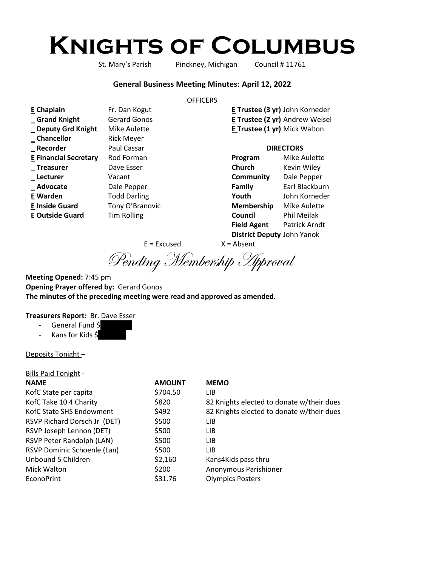# **Knights of Columbus**

St. Mary's Parish Pinckney, Michigan Council # 11761

#### **General Business Meeting Minutes: April 12, 2022**

#### **OFFICERS**

| E Chaplain                   | Fr. Dan Kogut       |                                     | E Trustee (3 yr) John Korneder |
|------------------------------|---------------------|-------------------------------------|--------------------------------|
| Grand Knight                 | <b>Gerard Gonos</b> |                                     | E Trustee (2 yr) Andrew Weisel |
| _ Deputy Grd Knight          | Mike Aulette        | <b>E Trustee (1 yr)</b> Mick Walton |                                |
| _Chancellor                  | <b>Rick Meyer</b>   |                                     |                                |
| _Recorder                    | Paul Cassar         | <b>DIRECTORS</b>                    |                                |
| <b>E Financial Secretary</b> | Rod Forman          | Program                             | Mike Aulette                   |
| _Treasurer                   | Dave Esser          | Church                              | Kevin Wiley                    |
| _ Lecturer                   | Vacant              | Community                           | Dale Pepper                    |
| _Advocate                    | Dale Pepper         | Family                              | Earl Blackburn                 |
| E Warden                     | <b>Todd Darling</b> | Youth                               | John Korneder                  |
| <b>E Inside Guard</b>        | Tony O'Branovic     | Membership                          | <b>Mike Aulette</b>            |
| <b>E Outside Guard</b>       | <b>Tim Rolling</b>  | Council                             | Phil Meilak                    |
|                              |                     | <b>Field Agent</b>                  | Patrick Arndt                  |

**District Deputy** John Yanok

 $E = Excused$   $X = Absent$ 

Pending Membership Approval

**Meeting Opened:** 7:45 pm **Opening Prayer offered by:** Gerard Gonos **The minutes of the preceding meeting were read and approved as amended.**

## **Treasurers Report:** Br. Dave Esser

- General Fund \$
- Kans for Kids \$

#### Deposits Tonight –

| <b>Bills Paid Tonight -</b>  |               |                                           |
|------------------------------|---------------|-------------------------------------------|
| <b>NAME</b>                  | <b>AMOUNT</b> | <b>MEMO</b>                               |
| KofC State per capita        | \$704.50      | LIB.                                      |
| KofC Take 10 4 Charity       | \$820         | 82 Knights elected to donate w/their dues |
| KofC State SHS Endowment     | \$492         | 82 Knights elected to donate w/their dues |
| RSVP Richard Dorsch Jr (DET) | \$500         | LIB                                       |
| RSVP Joseph Lennon (DET)     | \$500         | LIB                                       |
| RSVP Peter Randolph (LAN)    | \$500         | LIB.                                      |
| RSVP Dominic Schoenle (Lan)  | \$500         | LIB.                                      |
| Unbound 5 Children           | \$2,160       | Kans4Kids pass thru                       |
| Mick Walton                  | \$200         | Anonymous Parishioner                     |
| <b>EconoPrint</b>            | \$31.76       | <b>Olympics Posters</b>                   |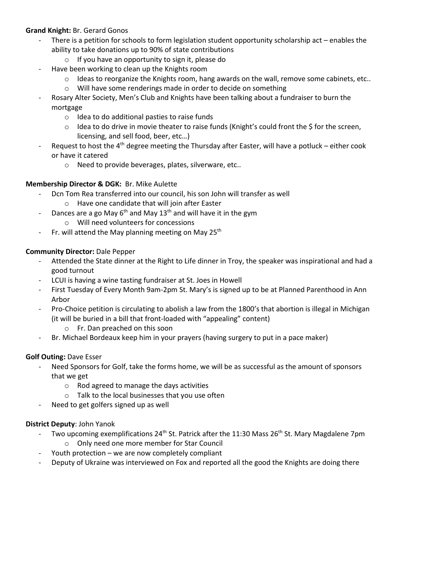## **Grand Knight:** Br. Gerard Gonos

- There is a petition for schools to form legislation student opportunity scholarship act enables the ability to take donations up to 90% of state contributions
	- o If you have an opportunity to sign it, please do
- Have been working to clean up the Knights room
	- $\circ$  Ideas to reorganize the Knights room, hang awards on the wall, remove some cabinets, etc..
	- o Will have some renderings made in order to decide on something
- Rosary Alter Society, Men's Club and Knights have been talking about a fundraiser to burn the mortgage
	- o Idea to do additional pasties to raise funds
	- $\circ$  Idea to do drive in movie theater to raise funds (Knight's could front the \$ for the screen, licensing, and sell food, beer, etc…)
- Request to host the  $4<sup>th</sup>$  degree meeting the Thursday after Easter, will have a potluck either cook or have it catered
	- o Need to provide beverages, plates, silverware, etc..

## **Membership Director & DGK:** Br. Mike Aulette

- Dcn Tom Rea transferred into our council, his son John will transfer as well
	- o Have one candidate that will join after Easter
- Dances are a go May  $6<sup>th</sup>$  and May 13<sup>th</sup> and will have it in the gym
	- o Will need volunteers for concessions
- Fr. will attend the May planning meeting on May  $25<sup>th</sup>$

## **Community Director:** Dale Pepper

- Attended the State dinner at the Right to Life dinner in Troy, the speaker was inspirational and had a good turnout
- LCUI is having a wine tasting fundraiser at St. Joes in Howell
- First Tuesday of Every Month 9am-2pm St. Mary's is signed up to be at Planned Parenthood in Ann Arbor
- Pro-Choice petition is circulating to abolish a law from the 1800's that abortion is illegal in Michigan (it will be buried in a bill that front-loaded with "appealing" content)
	- o Fr. Dan preached on this soon
- Br. Michael Bordeaux keep him in your prayers (having surgery to put in a pace maker)

## **Golf Outing:** Dave Esser

- Need Sponsors for Golf, take the forms home, we will be as successful as the amount of sponsors that we get
	- o Rod agreed to manage the days activities
	- o Talk to the local businesses that you use often
- Need to get golfers signed up as well

## **District Deputy**: John Yanok

- Two upcoming exemplifications  $24<sup>th</sup>$  St. Patrick after the 11:30 Mass 26<sup>th</sup> St. Mary Magdalene 7pm
	- o Only need one more member for Star Council
- Youth protection  $-$  we are now completely compliant
- Deputy of Ukraine was interviewed on Fox and reported all the good the Knights are doing there